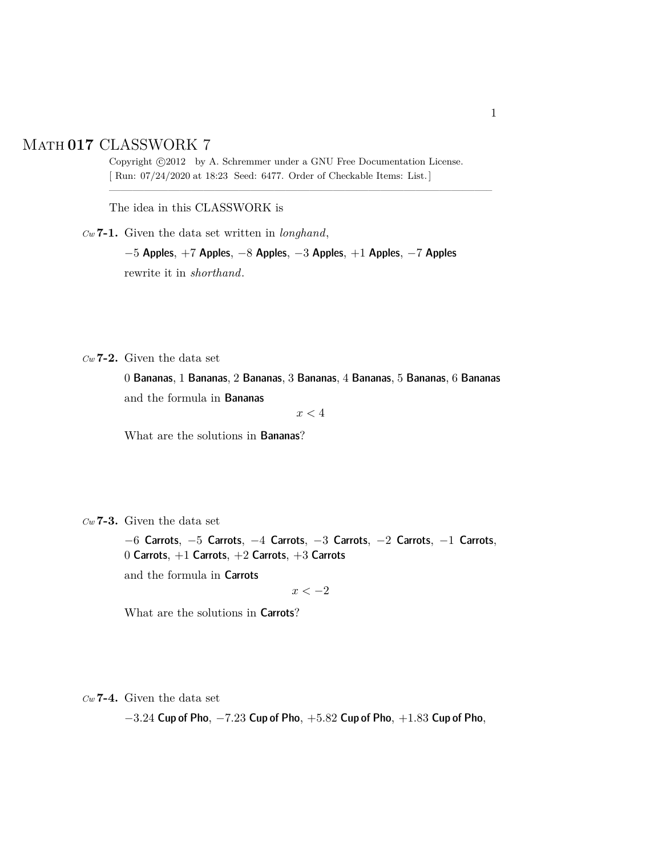## Math **017** CLASSWORK 7

Copyright  $\odot$ 2012 by A. Schremmer under a GNU Free Documentation License. [ Run: 07/24/2020 at 18:23 Seed: 6477. Order of Checkable Items: List.]

————————————————————————————————–

The idea in this CLASSWORK is

*Cw* **7-1.** Given the data set written in *longhand*,

−5 Apples, +7 Apples, −8 Apples, −3 Apples, +1 Apples, −7 Apples rewrite it in *shorthand*.

*Cw* **7-2.** Given the data set

0 Bananas, 1 Bananas, 2 Bananas, 3 Bananas, 4 Bananas, 5 Bananas, 6 Bananas and the formula in Bananas

 $x<4$ 

What are the solutions in Bananas?

*Cw* **7-3.** Given the data set

−6 Carrots, −5 Carrots, −4 Carrots, −3 Carrots, −2 Carrots, −1 Carrots, 0 Carrots, +1 Carrots, +2 Carrots, +3 Carrots

and the formula in Carrots

 $x < -2$ 

What are the solutions in Carrots?

*Cw* **7-4.** Given the data set

 $-3.24$  Cup of Pho,  $-7.23$  Cup of Pho,  $+5.82$  Cup of Pho,  $+1.83$  Cup of Pho,